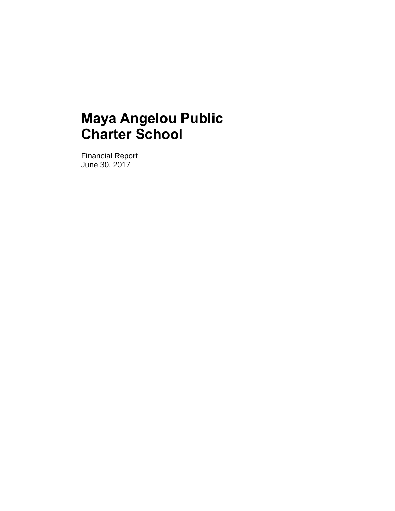Financial Report June 30, 2017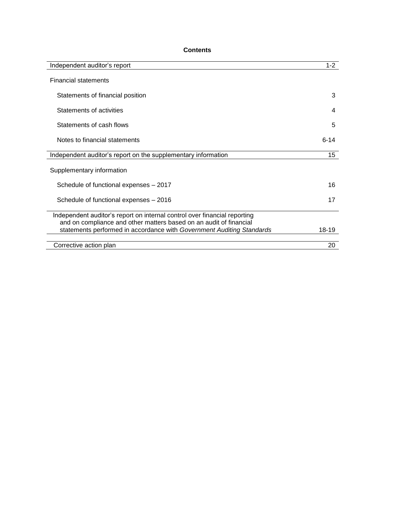# **Contents**

| Independent auditor's report                                                                                                                | $1 - 2$  |
|---------------------------------------------------------------------------------------------------------------------------------------------|----------|
| <b>Financial statements</b>                                                                                                                 |          |
| Statements of financial position                                                                                                            | 3        |
| Statements of activities                                                                                                                    | 4        |
| Statements of cash flows                                                                                                                    | 5        |
| Notes to financial statements                                                                                                               | $6 - 14$ |
| Independent auditor's report on the supplementary information                                                                               | 15       |
| Supplementary information                                                                                                                   |          |
| Schedule of functional expenses - 2017                                                                                                      | 16       |
| Schedule of functional expenses - 2016                                                                                                      | 17       |
| Independent auditor's report on internal control over financial reporting                                                                   |          |
| and on compliance and other matters based on an audit of financial<br>statements performed in accordance with Government Auditing Standards | 18-19    |
|                                                                                                                                             |          |
| Corrective action plan                                                                                                                      | 20       |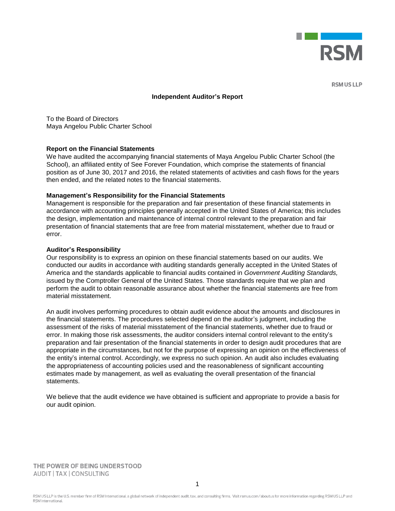

**RSM US LLP** 

#### **Independent Auditor's Report**

To the Board of Directors Maya Angelou Public Charter School

#### **Report on the Financial Statements**

We have audited the accompanying financial statements of Maya Angelou Public Charter School (the School), an affiliated entity of See Forever Foundation, which comprise the statements of financial position as of June 30, 2017 and 2016, the related statements of activities and cash flows for the years then ended, and the related notes to the financial statements.

#### **Management's Responsibility for the Financial Statements**

Management is responsible for the preparation and fair presentation of these financial statements in accordance with accounting principles generally accepted in the United States of America; this includes the design, implementation and maintenance of internal control relevant to the preparation and fair presentation of financial statements that are free from material misstatement, whether due to fraud or error.

#### **Auditor's Responsibility**

Our responsibility is to express an opinion on these financial statements based on our audits. We conducted our audits in accordance with auditing standards generally accepted in the United States of America and the standards applicable to financial audits contained in *Government Auditing Standards,*  issued by the Comptroller General of the United States. Those standards require that we plan and perform the audit to obtain reasonable assurance about whether the financial statements are free from material misstatement.

An audit involves performing procedures to obtain audit evidence about the amounts and disclosures in the financial statements. The procedures selected depend on the auditor's judgment, including the assessment of the risks of material misstatement of the financial statements, whether due to fraud or error. In making those risk assessments, the auditor considers internal control relevant to the entity's preparation and fair presentation of the financial statements in order to design audit procedures that are appropriate in the circumstances, but not for the purpose of expressing an opinion on the effectiveness of the entity's internal control. Accordingly, we express no such opinion. An audit also includes evaluating the appropriateness of accounting policies used and the reasonableness of significant accounting estimates made by management, as well as evaluating the overall presentation of the financial statements.

We believe that the audit evidence we have obtained is sufficient and appropriate to provide a basis for our audit opinion.

THE POWER OF BEING UNDERSTOOD AUDIT | TAX | CONSULTING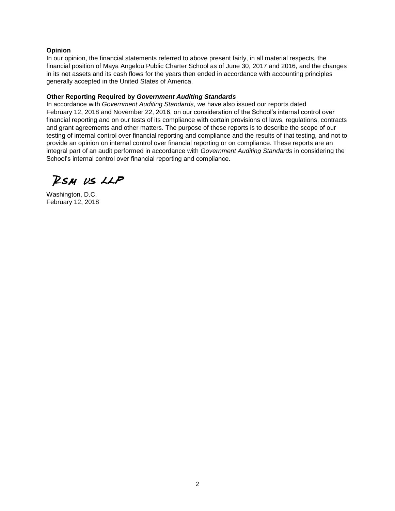# **Opinion**

In our opinion, the financial statements referred to above present fairly, in all material respects, the financial position of Maya Angelou Public Charter School as of June 30, 2017 and 2016, and the changes in its net assets and its cash flows for the years then ended in accordance with accounting principles generally accepted in the United States of America.

## **Other Reporting Required by** *Government Auditing Standards*

In accordance with *Government Auditing Standards*, we have also issued our reports dated February 12, 2018 and November 22, 2016, on our consideration of the School's internal control over financial reporting and on our tests of its compliance with certain provisions of laws, regulations, contracts and grant agreements and other matters. The purpose of these reports is to describe the scope of our testing of internal control over financial reporting and compliance and the results of that testing, and not to provide an opinion on internal control over financial reporting or on compliance. These reports are an integral part of an audit performed in accordance with *Government Auditing Standards* in considering the School's internal control over financial reporting and compliance.

RSM US LLP

Washington, D.C. February 12, 2018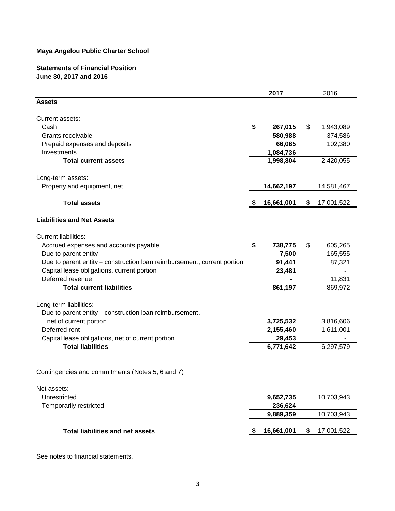# **Statements of Financial Position June 30, 2017 and 2016**

|                                                                         | 2017          | 2016             |
|-------------------------------------------------------------------------|---------------|------------------|
| <b>Assets</b>                                                           |               |                  |
|                                                                         |               |                  |
| Current assets:                                                         |               |                  |
| Cash<br>Grants receivable                                               | \$<br>267,015 | \$<br>1,943,089  |
|                                                                         | 580,988       | 374,586          |
| Prepaid expenses and deposits                                           | 66,065        | 102,380          |
| Investments                                                             | 1,084,736     |                  |
| <b>Total current assets</b>                                             | 1,998,804     | 2,420,055        |
| Long-term assets:                                                       |               |                  |
| Property and equipment, net                                             | 14,662,197    | 14,581,467       |
|                                                                         |               |                  |
| <b>Total assets</b>                                                     | 16,661,001    | \$<br>17,001,522 |
| <b>Liabilities and Net Assets</b>                                       |               |                  |
| <b>Current liabilities:</b>                                             |               |                  |
| Accrued expenses and accounts payable                                   | \$<br>738,775 | \$<br>605,265    |
| Due to parent entity                                                    | 7,500         | 165,555          |
| Due to parent entity - construction loan reimbursement, current portion | 91,441        | 87,321           |
| Capital lease obligations, current portion                              | 23,481        |                  |
| Deferred revenue                                                        |               | 11,831           |
| <b>Total current liabilities</b>                                        | 861,197       | 869,972          |
| Long-term liabilities:                                                  |               |                  |
| Due to parent entity - construction loan reimbursement,                 |               |                  |
| net of current portion                                                  | 3,725,532     | 3,816,606        |
| Deferred rent                                                           | 2,155,460     | 1,611,001        |
| Capital lease obligations, net of current portion                       | 29,453        |                  |
| <b>Total liabilities</b>                                                | 6,771,642     | 6,297,579        |
|                                                                         |               |                  |
| Contingencies and commitments (Notes 5, 6 and 7)                        |               |                  |
| Net assets:                                                             |               |                  |
| Unrestricted                                                            | 9,652,735     | 10,703,943       |
| Temporarily restricted                                                  | 236,624       |                  |
|                                                                         | 9,889,359     | 10,703,943       |
| <b>Total liabilities and net assets</b>                                 | 16,661,001    | \$<br>17,001,522 |
|                                                                         |               |                  |

See notes to financial statements.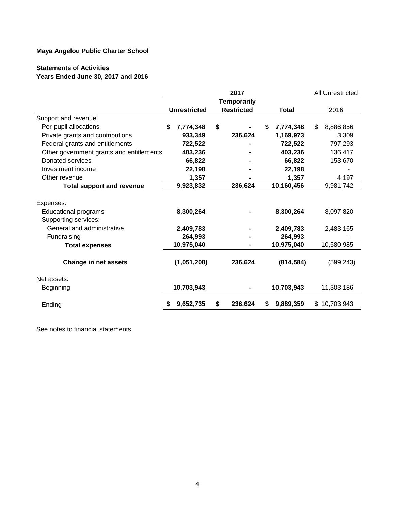# **Statements of Activities**

**Years Ended June 30, 2017 and 2016**

|                                          |                     |             | 2017               |    |            | All Unrestricted |
|------------------------------------------|---------------------|-------------|--------------------|----|------------|------------------|
|                                          |                     |             | <b>Temporarily</b> |    |            |                  |
|                                          | <b>Unrestricted</b> |             | <b>Restricted</b>  |    | Total      | 2016             |
| Support and revenue:                     |                     |             |                    |    |            |                  |
| Per-pupil allocations                    | \$                  | 7,774,348   | \$                 | S  | 7,774,348  | \$<br>8,886,856  |
| Private grants and contributions         |                     | 933,349     | 236,624            |    | 1,169,973  | 3,309            |
| Federal grants and entitlements          |                     | 722,522     |                    |    | 722,522    | 797,293          |
| Other government grants and entitlements |                     | 403,236     |                    |    | 403,236    | 136,417          |
| Donated services                         |                     | 66,822      |                    |    | 66,822     | 153,670          |
| Investment income                        |                     | 22,198      |                    |    | 22,198     |                  |
| Other revenue                            |                     | 1,357       |                    |    | 1,357      | 4,197            |
| <b>Total support and revenue</b>         |                     | 9,923,832   | 236,624            |    | 10,160,456 | 9,981,742        |
|                                          |                     |             |                    |    |            |                  |
| Expenses:                                |                     |             |                    |    |            |                  |
| <b>Educational programs</b>              |                     | 8,300,264   |                    |    | 8,300,264  | 8,097,820        |
| Supporting services:                     |                     |             |                    |    |            |                  |
| General and administrative               |                     | 2,409,783   |                    |    | 2,409,783  | 2,483,165        |
| Fundraising                              |                     | 264,993     |                    |    | 264,993    |                  |
| <b>Total expenses</b>                    |                     | 10,975,040  | Ξ.                 |    | 10,975,040 | 10,580,985       |
|                                          |                     |             |                    |    |            |                  |
| <b>Change in net assets</b>              |                     | (1,051,208) | 236,624            |    | (814, 584) | (599, 243)       |
| Net assets:                              |                     |             |                    |    |            |                  |
| Beginning                                |                     | 10,703,943  |                    |    | 10,703,943 | 11,303,186       |
| Ending                                   | \$                  | 9,652,735   | \$<br>236,624      | \$ | 9,889,359  | \$10,703,943     |

See notes to financial statements.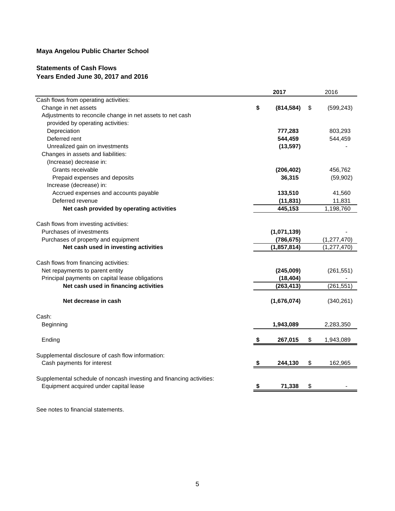# **Statements of Cash Flows Years Ended June 30, 2017 and 2016**

|                                                                      | 2017             | 2016             |
|----------------------------------------------------------------------|------------------|------------------|
| Cash flows from operating activities:                                |                  |                  |
| Change in net assets                                                 | \$<br>(814, 584) | \$<br>(599, 243) |
| Adjustments to reconcile change in net assets to net cash            |                  |                  |
| provided by operating activities:                                    |                  |                  |
| Depreciation                                                         | 777,283          | 803,293          |
| Deferred rent                                                        | 544,459          | 544,459          |
| Unrealized gain on investments                                       | (13, 597)        |                  |
| Changes in assets and liabilities:                                   |                  |                  |
| (Increase) decrease in:                                              |                  |                  |
| Grants receivable                                                    | (206, 402)       | 456,762          |
| Prepaid expenses and deposits                                        | 36,315           | (59, 902)        |
| Increase (decrease) in:                                              |                  |                  |
| Accrued expenses and accounts payable                                | 133,510          | 41,560           |
| Deferred revenue                                                     | (11, 831)        | 11,831           |
| Net cash provided by operating activities                            | 445,153          | 1,198,760        |
| Cash flows from investing activities:                                |                  |                  |
| Purchases of investments                                             | (1,071,139)      |                  |
| Purchases of property and equipment                                  | (786, 675)       | (1, 277, 470)    |
| Net cash used in investing activities                                | (1,857,814)      | (1, 277, 470)    |
|                                                                      |                  |                  |
| Cash flows from financing activities:                                |                  |                  |
| Net repayments to parent entity                                      | (245,009)        | (261, 551)       |
| Principal payments on capital lease obligations                      | (18, 404)        |                  |
| Net cash used in financing activities                                | (263, 413)       | (261, 551)       |
| Net decrease in cash                                                 | (1,676,074)      | (340, 261)       |
| Cash:                                                                |                  |                  |
| Beginning                                                            | 1,943,089        | 2,283,350        |
| Ending                                                               | \$<br>267,015    | \$<br>1,943,089  |
|                                                                      |                  |                  |
| Supplemental disclosure of cash flow information:                    |                  |                  |
| Cash payments for interest                                           | 244,130          | \$<br>162,965    |
| Supplemental schedule of noncash investing and financing activities: |                  |                  |
| Equipment acquired under capital lease                               | 71,338           | \$               |
|                                                                      |                  |                  |

See notes to financial statements.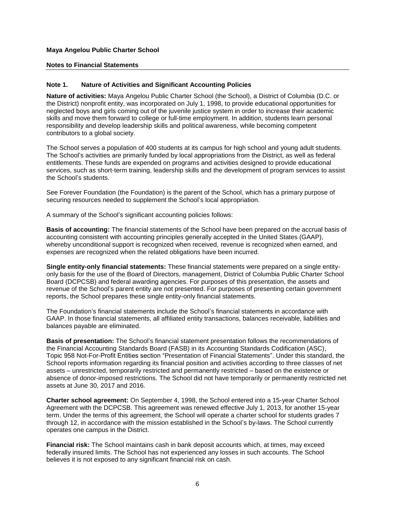#### **Notes to Financial Statements**

## **Note 1. Nature of Activities and Significant Accounting Policies**

**Nature of activities:** Maya Angelou Public Charter School (the School), a District of Columbia (D.C. or the District) nonprofit entity, was incorporated on July 1, 1998, to provide educational opportunities for neglected boys and girls coming out of the juvenile justice system in order to increase their academic skills and move them forward to college or full-time employment. In addition, students learn personal responsibility and develop leadership skills and political awareness, while becoming competent contributors to a global society.

The School serves a population of 400 students at its campus for high school and young adult students. The School's activities are primarily funded by local appropriations from the District, as well as federal entitlements. These funds are expended on programs and activities designed to provide educational services, such as short-term training, leadership skills and the development of program services to assist the School's students.

See Forever Foundation (the Foundation) is the parent of the School, which has a primary purpose of securing resources needed to supplement the School's local appropriation.

A summary of the School's significant accounting policies follows:

**Basis of accounting:** The financial statements of the School have been prepared on the accrual basis of accounting consistent with accounting principles generally accepted in the United States (GAAP), whereby unconditional support is recognized when received, revenue is recognized when earned, and expenses are recognized when the related obligations have been incurred.

**Single entity-only financial statements:** These financial statements were prepared on a single entityonly basis for the use of the Board of Directors, management, District of Columbia Public Charter School Board (DCPCSB) and federal awarding agencies. For purposes of this presentation, the assets and revenue of the School's parent entity are not presented. For purposes of presenting certain government reports, the School prepares these single entity-only financial statements.

The Foundation's financial statements include the School's financial statements in accordance with GAAP. In those financial statements, all affiliated entity transactions, balances receivable, liabilities and balances payable are eliminated.

**Basis of presentation:** The School's financial statement presentation follows the recommendations of the Financial Accounting Standards Board (FASB) in its Accounting Standards Codification (ASC), Topic 958 Not-For-Profit Entities section "Presentation of Financial Statements". Under this standard, the School reports information regarding its financial position and activities according to three classes of net assets – unrestricted, temporarily restricted and permanently restricted – based on the existence or absence of donor-imposed restrictions. The School did not have temporarily or permanently restricted net assets at June 30, 2017 and 2016.

**Charter school agreement:** On September 4, 1998, the School entered into a 15-year Charter School Agreement with the DCPCSB. This agreement was renewed effective July 1, 2013, for another 15-year term. Under the terms of this agreement, the School will operate a charter school for students grades 7 through 12, in accordance with the mission established in the School's by-laws. The School currently operates one campus in the District.

**Financial risk:** The School maintains cash in bank deposit accounts which, at times, may exceed federally insured limits. The School has not experienced any losses in such accounts. The School believes it is not exposed to any significant financial risk on cash.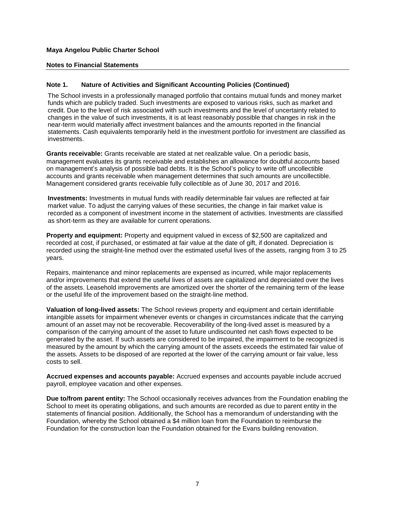#### **Notes to Financial Statements**

## **Note 1. Nature of Activities and Significant Accounting Policies (Continued)**

The School invests in a professionally managed portfolio that contains mutual funds and money market funds which are publicly traded. Such investments are exposed to various risks, such as market and credit. Due to the level of risk associated with such investments and the level of uncertainty related to changes in the value of such investments, it is at least reasonably possible that changes in risk in the near-term would materially affect investment balances and the amounts reported in the financial statements. Cash equivalents temporarily held in the investment portfolio for investment are classified as investments.

**Grants receivable:** Grants receivable are stated at net realizable value. On a periodic basis, management evaluates its grants receivable and establishes an allowance for doubtful accounts based on management's analysis of possible bad debts. It is the School's policy to write off uncollectible accounts and grants receivable when management determines that such amounts are uncollectible. Management considered grants receivable fully collectible as of June 30, 2017 and 2016.

**Investments:** Investments in mutual funds with readily determinable fair values are reflected at fair market value. To adjust the carrying values of these securities, the change in fair market value is recorded as a component of investment income in the statement of activities. Investments are classified as short-term as they are available for current operations.

**Property and equipment:** Property and equipment valued in excess of \$2,500 are capitalized and recorded at cost, if purchased, or estimated at fair value at the date of gift, if donated. Depreciation is recorded using the straight-line method over the estimated useful lives of the assets, ranging from 3 to 25 years.

Repairs, maintenance and minor replacements are expensed as incurred, while major replacements and/or improvements that extend the useful lives of assets are capitalized and depreciated over the lives of the assets. Leasehold improvements are amortized over the shorter of the remaining term of the lease or the useful life of the improvement based on the straight-line method.

**Valuation of long-lived assets:** The School reviews property and equipment and certain identifiable intangible assets for impairment whenever events or changes in circumstances indicate that the carrying amount of an asset may not be recoverable. Recoverability of the long-lived asset is measured by a comparison of the carrying amount of the asset to future undiscounted net cash flows expected to be generated by the asset. If such assets are considered to be impaired, the impairment to be recognized is measured by the amount by which the carrying amount of the assets exceeds the estimated fair value of the assets. Assets to be disposed of are reported at the lower of the carrying amount or fair value, less costs to sell.

**Accrued expenses and accounts payable:** Accrued expenses and accounts payable include accrued payroll, employee vacation and other expenses.

**Due to/from parent entity:** The School occasionally receives advances from the Foundation enabling the School to meet its operating obligations, and such amounts are recorded as due to parent entity in the statements of financial position. Additionally, the School has a memorandum of understanding with the Foundation, whereby the School obtained a \$4 million loan from the Foundation to reimburse the Foundation for the construction loan the Foundation obtained for the Evans building renovation.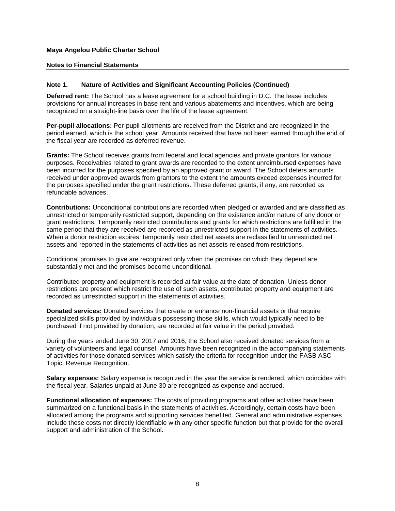#### **Notes to Financial Statements**

## **Note 1. Nature of Activities and Significant Accounting Policies (Continued)**

**Deferred rent:** The School has a lease agreement for a school building in D.C. The lease includes provisions for annual increases in base rent and various abatements and incentives, which are being recognized on a straight-line basis over the life of the lease agreement.

**Per-pupil allocations:** Per-pupil allotments are received from the District and are recognized in the period earned, which is the school year. Amounts received that have not been earned through the end of the fiscal year are recorded as deferred revenue.

**Grants:** The School receives grants from federal and local agencies and private grantors for various purposes. Receivables related to grant awards are recorded to the extent unreimbursed expenses have been incurred for the purposes specified by an approved grant or award. The School defers amounts received under approved awards from grantors to the extent the amounts exceed expenses incurred for the purposes specified under the grant restrictions. These deferred grants, if any, are recorded as refundable advances.

**Contributions:** Unconditional contributions are recorded when pledged or awarded and are classified as unrestricted or temporarily restricted support, depending on the existence and/or nature of any donor or grant restrictions. Temporarily restricted contributions and grants for which restrictions are fulfilled in the same period that they are received are recorded as unrestricted support in the statements of activities. When a donor restriction expires, temporarily restricted net assets are reclassified to unrestricted net assets and reported in the statements of activities as net assets released from restrictions.

Conditional promises to give are recognized only when the promises on which they depend are substantially met and the promises become unconditional.

Contributed property and equipment is recorded at fair value at the date of donation. Unless donor restrictions are present which restrict the use of such assets, contributed property and equipment are recorded as unrestricted support in the statements of activities.

**Donated services:** Donated services that create or enhance non-financial assets or that require specialized skills provided by individuals possessing those skills, which would typically need to be purchased if not provided by donation, are recorded at fair value in the period provided.

During the years ended June 30, 2017 and 2016, the School also received donated services from a variety of volunteers and legal counsel. Amounts have been recognized in the accompanying statements of activities for those donated services which satisfy the criteria for recognition under the FASB ASC Topic, Revenue Recognition.

**Salary expenses:** Salary expense is recognized in the year the service is rendered, which coincides with the fiscal year. Salaries unpaid at June 30 are recognized as expense and accrued.

**Functional allocation of expenses:** The costs of providing programs and other activities have been summarized on a functional basis in the statements of activities. Accordingly, certain costs have been allocated among the programs and supporting services benefited. General and administrative expenses include those costs not directly identifiable with any other specific function but that provide for the overall support and administration of the School.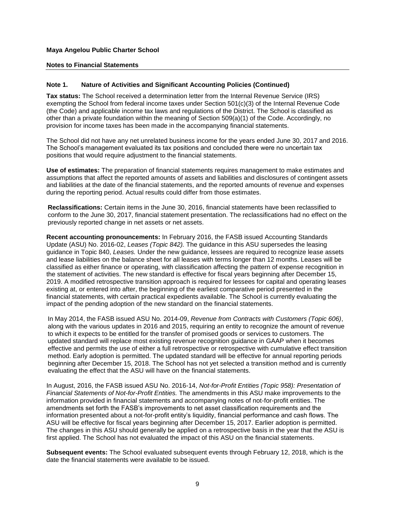#### **Notes to Financial Statements**

## **Note 1. Nature of Activities and Significant Accounting Policies (Continued)**

**Tax status:** The School received a determination letter from the Internal Revenue Service (IRS) exempting the School from federal income taxes under Section 501(c)(3) of the Internal Revenue Code (the Code) and applicable income tax laws and regulations of the District. The School is classified as other than a private foundation within the meaning of Section 509(a)(1) of the Code. Accordingly, no provision for income taxes has been made in the accompanying financial statements.

The School did not have any net unrelated business income for the years ended June 30, 2017 and 2016. The School's management evaluated its tax positions and concluded there were no uncertain tax positions that would require adjustment to the financial statements.

**Use of estimates:** The preparation of financial statements requires management to make estimates and assumptions that affect the reported amounts of assets and liabilities and disclosures of contingent assets and liabilities at the date of the financial statements, and the reported amounts of revenue and expenses during the reporting period. Actual results could differ from those estimates.

**Reclassifications:** Certain items in the June 30, 2016, financial statements have been reclassified to conform to the June 30, 2017, financial statement presentation. The reclassifications had no effect on the previously reported change in net assets or net assets.

**Recent accounting pronouncements:** In February 2016, the FASB issued Accounting Standards Update (ASU) No. 2016-02, *Leases (Topic 842).* The guidance in this ASU supersedes the leasing guidance in Topic 840, *Leases.* Under the new guidance, lessees are required to recognize lease assets and lease liabilities on the balance sheet for all leases with terms longer than 12 months. Leases will be classified as either finance or operating, with classification affecting the pattern of expense recognition in the statement of activities. The new standard is effective for fiscal years beginning after December 15, 2019. A modified retrospective transition approach is required for lessees for capital and operating leases existing at, or entered into after, the beginning of the earliest comparative period presented in the financial statements, with certain practical expedients available. The School is currently evaluating the impact of the pending adoption of the new standard on the financial statements.

In May 2014, the FASB issued ASU No. 2014-09, *Revenue from Contracts with Customers (Topic 606)*, along with the various updates in 2016 and 2015, requiring an entity to recognize the amount of revenue to which it expects to be entitled for the transfer of promised goods or services to customers. The updated standard will replace most existing revenue recognition guidance in GAAP when it becomes effective and permits the use of either a full retrospective or retrospective with cumulative effect transition method. Early adoption is permitted. The updated standard will be effective for annual reporting periods beginning after December 15, 2018. The School has not yet selected a transition method and is currently evaluating the effect that the ASU will have on the financial statements.

In August, 2016, the FASB issued ASU No. 2016-14, *Not-for-Profit Entities (Topic 958): Presentation of Financial Statements of Not-for-Profit Entities.* The amendments in this ASU make improvements to the information provided in financial statements and accompanying notes of not-for-profit entities. The amendments set forth the FASB's improvements to net asset classification requirements and the information presented about a not-for-profit entity's liquidity, financial performance and cash flows. The ASU will be effective for fiscal years beginning after December 15, 2017. Earlier adoption is permitted. The changes in this ASU should generally be applied on a retrospective basis in the year that the ASU is first applied. The School has not evaluated the impact of this ASU on the financial statements.

**Subsequent events:** The School evaluated subsequent events through February 12, 2018, which is the date the financial statements were available to be issued.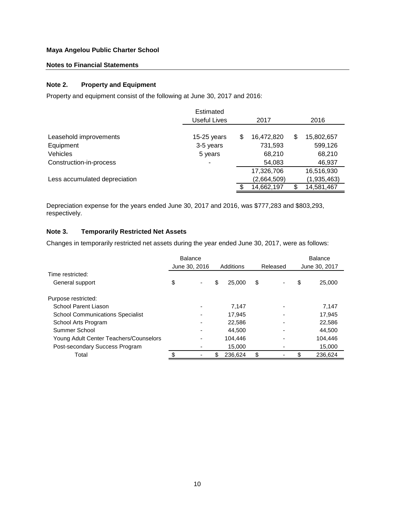## **Notes to Financial Statements**

# **Note 2. Property and Equipment**

Property and equipment consist of the following at June 30, 2017 and 2016:

|                               | Estimated<br>Useful Lives |    | 2017        | 2016             |
|-------------------------------|---------------------------|----|-------------|------------------|
| Leasehold improvements        | $15-25$ years             | S  | 16,472,820  | \$<br>15,802,657 |
| Equipment                     | 3-5 years                 |    | 731,593     | 599,126          |
| Vehicles                      | 5 years                   |    | 68,210      | 68,210           |
| Construction-in-process       | -                         |    | 54,083      | 46,937           |
|                               |                           |    | 17,326,706  | 16,516,930       |
| Less accumulated depreciation |                           |    | (2,664,509) | (1,935,463)      |
|                               |                           | \$ | 14,662,197  | \$<br>14,581,467 |

Depreciation expense for the years ended June 30, 2017 and 2016, was \$777,283 and \$803,293, respectively.

# **Note 3. Temporarily Restricted Net Assets**

Changes in temporarily restricted net assets during the year ended June 30, 2017, were as follows:

|                                         | <b>Balance</b> |               |          | <b>Balance</b> |
|-----------------------------------------|----------------|---------------|----------|----------------|
|                                         | June 30, 2016  | Additions     | Released | June 30, 2017  |
| Time restricted:                        |                |               |          |                |
| General support                         | \$             | \$<br>25,000  | \$       | \$<br>25,000   |
| Purpose restricted:                     |                |               |          |                |
| School Parent Liason                    |                | 7.147         |          | 7.147          |
| <b>School Communications Specialist</b> |                | 17.945        |          | 17.945         |
| School Arts Program                     |                | 22,586        |          | 22,586         |
| Summer School                           |                | 44.500        |          | 44.500         |
| Young Adult Center Teachers/Counselors  |                | 104.446       |          | 104.446        |
| Post-secondary Success Program          |                | 15,000        |          | 15,000         |
| Total                                   |                | \$<br>236,624 | \$       | 236,624        |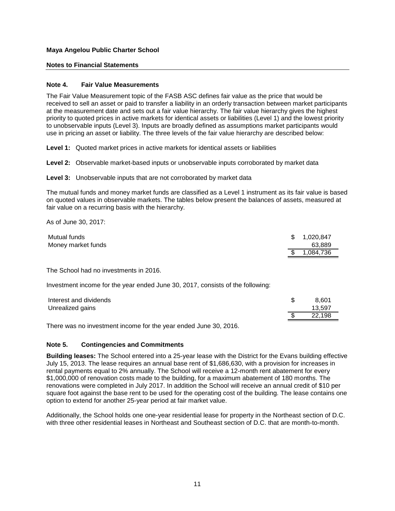#### **Notes to Financial Statements**

#### **Note 4. Fair Value Measurements**

The Fair Value Measurement topic of the FASB ASC defines fair value as the price that would be received to sell an asset or paid to transfer a liability in an orderly transaction between market participants at the measurement date and sets out a fair value hierarchy. The fair value hierarchy gives the highest priority to quoted prices in active markets for identical assets or liabilities (Level 1) and the lowest priority to unobservable inputs (Level 3). Inputs are broadly defined as assumptions market participants would use in pricing an asset or liability. The three levels of the fair value hierarchy are described below:

**Level 1:** Quoted market prices in active markets for identical assets or liabilities

**Level 2:** Observable market-based inputs or unobservable inputs corroborated by market data

**Level 3:** Unobservable inputs that are not corroborated by market data

The mutual funds and money market funds are classified as a Level 1 instrument as its fair value is based on quoted values in observable markets. The tables below present the balances of assets, measured at fair value on a recurring basis with the hierarchy.

As of June 30, 2017:

| Mutual funds       |     | \$1,020,847 |
|--------------------|-----|-------------|
| Money market funds |     | 63.889      |
|                    | \$. | 1.084.736   |

The School had no investments in 2016.

Investment income for the year ended June 30, 2017, consists of the following:

| Interest and dividends | 8.601  |
|------------------------|--------|
| Unrealized gains       | 13.597 |
|                        | 22.198 |

There was no investment income for the year ended June 30, 2016.

## **Note 5. Contingencies and Commitments**

**Building leases:** The School entered into a 25-year lease with the District for the Evans building effective July 15, 2013. The lease requires an annual base rent of \$1,686,630, with a provision for increases in rental payments equal to 2% annually. The School will receive a 12-month rent abatement for every \$1,000,000 of renovation costs made to the building, for a maximum abatement of 180 months. The renovations were completed in July 2017. In addition the School will receive an annual credit of \$10 per square foot against the base rent to be used for the operating cost of the building. The lease contains one option to extend for another 25-year period at fair market value.

Additionally, the School holds one one-year residential lease for property in the Northeast section of D.C. with three other residential leases in Northeast and Southeast section of D.C. that are month-to-month.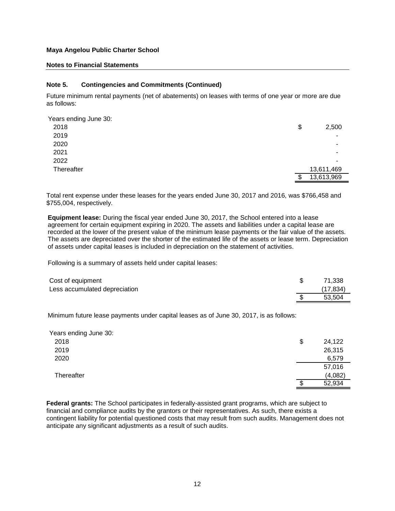#### **Notes to Financial Statements**

## **Note 5. Contingencies and Commitments (Continued)**

Future minimum rental payments (net of abatements) on leases with terms of one year or more are due as follows:

| Years ending June 30: |    |            |
|-----------------------|----|------------|
| 2018                  | \$ | 2,500      |
| 2019                  |    | ۰          |
| 2020                  |    | ۰          |
| 2021                  |    | -          |
| 2022                  |    | -          |
| Thereafter            |    | 13,611,469 |
|                       | ጥ  | 13,613,969 |

Total rent expense under these leases for the years ended June 30, 2017 and 2016, was \$766,458 and \$755,004, respectively.

**Equipment lease:** During the fiscal year ended June 30, 2017, the School entered into a lease agreement for certain equipment expiring in 2020. The assets and liabilities under a capital lease are recorded at the lower of the present value of the minimum lease payments or the fair value of the assets. The assets are depreciated over the shorter of the estimated life of the assets or lease term. Depreciation of assets under capital leases is included in depreciation on the statement of activities.

Following is a summary of assets held under capital leases:

| Cost of equipment             | 71,338    |
|-------------------------------|-----------|
| Less accumulated depreciation | (17, 834) |
|                               | 53.504    |

Minimum future lease payments under capital leases as of June 30, 2017, is as follows:

| Years ending June 30: |    |         |
|-----------------------|----|---------|
| 2018                  | \$ | 24,122  |
| 2019                  |    | 26,315  |
| 2020                  |    | 6,579   |
|                       |    | 57,016  |
| Thereafter            |    | (4,082) |
|                       | S  | 52,934  |

**Federal grants:** The School participates in federally-assisted grant programs, which are subject to financial and compliance audits by the grantors or their representatives. As such, there exists a contingent liability for potential questioned costs that may result from such audits. Management does not anticipate any significant adjustments as a result of such audits.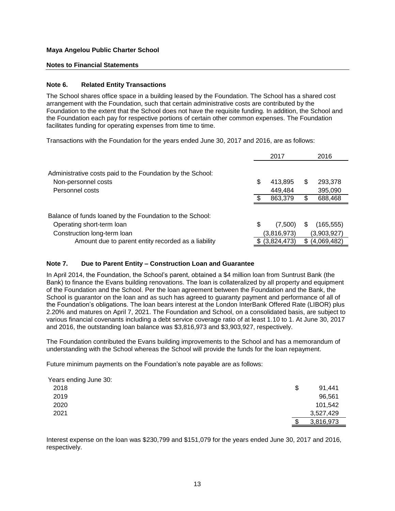## **Notes to Financial Statements**

#### **Note 6. Related Entity Transactions**

The School shares office space in a building leased by the Foundation. The School has a shared cost arrangement with the Foundation, such that certain administrative costs are contributed by the Foundation to the extent that the School does not have the requisite funding. In addition, the School and the Foundation each pay for respective portions of certain other common expenses. The Foundation facilitates funding for operating expenses from time to time.

Transactions with the Foundation for the years ended June 30, 2017 and 2016, are as follows:

|                                                                                                      | 2017 |                    |    | 2016               |
|------------------------------------------------------------------------------------------------------|------|--------------------|----|--------------------|
| Administrative costs paid to the Foundation by the School:<br>Non-personnel costs<br>Personnel costs | \$   | 413,895<br>449,484 | S  | 293,378<br>395,090 |
|                                                                                                      | \$.  | 863,379            | \$ | 688,468            |
| Balance of funds loaned by the Foundation to the School:                                             |      |                    |    |                    |
| Operating short-term loan                                                                            | \$   | (7.500)            | S  | (165, 555)         |
| Construction long-term loan                                                                          |      | (3,816,973)        |    | (3,903,927)        |
| Amount due to parent entity recorded as a liability                                                  |      | (3,824,473)        |    | \$ (4,069,482)     |

## **Note 7. Due to Parent Entity – Construction Loan and Guarantee**

In April 2014, the Foundation, the School's parent, obtained a \$4 million loan from Suntrust Bank (the Bank) to finance the Evans building renovations. The loan is collateralized by all property and equipment of the Foundation and the School. Per the loan agreement between the Foundation and the Bank, the School is guarantor on the loan and as such has agreed to guaranty payment and performance of all of the Foundation's obligations. The loan bears interest at the London InterBank Offered Rate (LIBOR) plus 2.20% and matures on April 7, 2021. The Foundation and School, on a consolidated basis, are subject to various financial covenants including a debt service coverage ratio of at least 1.10 to 1. At June 30, 2017 and 2016, the outstanding loan balance was \$3,816,973 and \$3,903,927, respectively.

The Foundation contributed the Evans building improvements to the School and has a memorandum of understanding with the School whereas the School will provide the funds for the loan repayment.

Future minimum payments on the Foundation's note payable are as follows:

| Years ending June 30: |    |           |
|-----------------------|----|-----------|
| 2018                  | \$ | 91.441    |
| 2019                  |    | 96,561    |
| 2020                  |    | 101,542   |
| 2021                  |    | 3,527,429 |
|                       | S  | 3,816,973 |

Interest expense on the loan was \$230,799 and \$151,079 for the years ended June 30, 2017 and 2016, respectively.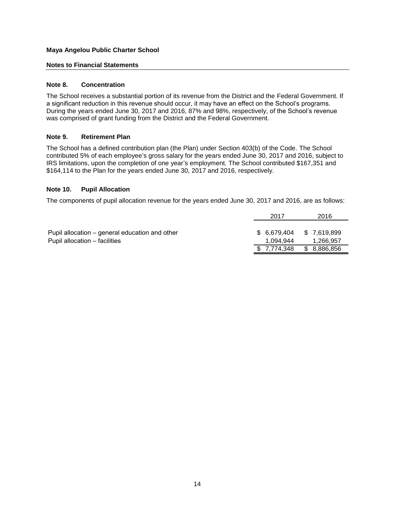## **Notes to Financial Statements**

## **Note 8. Concentration**

The School receives a substantial portion of its revenue from the District and the Federal Government. If a significant reduction in this revenue should occur, it may have an effect on the School's programs. During the years ended June 30, 2017 and 2016, 87% and 98%, respectively, of the School's revenue was comprised of grant funding from the District and the Federal Government.

# **Note 9. Retirement Plan**

The School has a defined contribution plan (the Plan) under Section 403(b) of the Code. The School contributed 5% of each employee's gross salary for the years ended June 30, 2017 and 2016, subject to IRS limitations, upon the completion of one year's employment. The School contributed \$167,351 and \$164,114 to the Plan for the years ended June 30, 2017 and 2016, respectively.

# **Note 10. Pupil Allocation**

The components of pupil allocation revenue for the years ended June 30, 2017 and 2016, are as follows:

|                                                                                 | 2017                                   | 2016         |
|---------------------------------------------------------------------------------|----------------------------------------|--------------|
| Pupil allocation – general education and other<br>Pupil allocation – facilities | \$ 6,679,404 \$ 7,619,899<br>1.094.944 | 1.266.957    |
|                                                                                 | \$7,774,348                            | \$ 8,886,856 |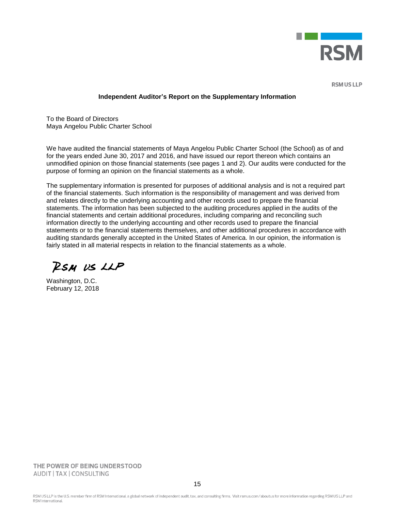

**RSM US LLP** 

#### **Independent Auditor's Report on the Supplementary Information**

To the Board of Directors Maya Angelou Public Charter School

We have audited the financial statements of Maya Angelou Public Charter School (the School) as of and for the years ended June 30, 2017 and 2016, and have issued our report thereon which contains an unmodified opinion on those financial statements (see pages 1 and 2). Our audits were conducted for the purpose of forming an opinion on the financial statements as a whole.

The supplementary information is presented for purposes of additional analysis and is not a required part of the financial statements. Such information is the responsibility of management and was derived from and relates directly to the underlying accounting and other records used to prepare the financial statements. The information has been subjected to the auditing procedures applied in the audits of the financial statements and certain additional procedures, including comparing and reconciling such information directly to the underlying accounting and other records used to prepare the financial statements or to the financial statements themselves, and other additional procedures in accordance with auditing standards generally accepted in the United States of America. In our opinion, the information is fairly stated in all material respects in relation to the financial statements as a whole.

RSM US LLP

Washington, D.C. February 12, 2018

THE POWER OF BEING UNDERSTOOD AUDIT | TAX | CONSULTING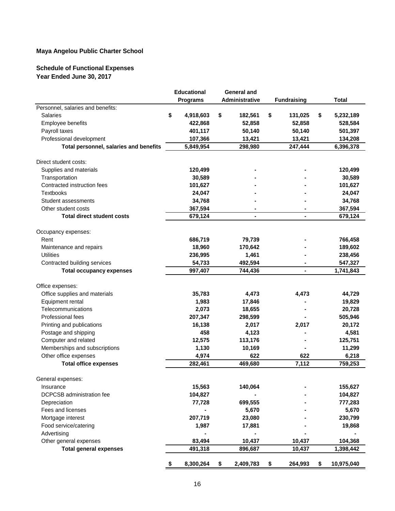# **Schedule of Functional Expenses Year Ended June 30, 2017**

|                                        |    | <b>Educational</b> | General and     |                     |              |
|----------------------------------------|----|--------------------|-----------------|---------------------|--------------|
|                                        |    | <b>Programs</b>    | Administrative  | <b>Fundraising</b>  | <b>Total</b> |
| Personnel, salaries and benefits:      |    |                    |                 |                     |              |
| <b>Salaries</b>                        | \$ | 4,918,603          | \$<br>182,561   | \$<br>131,025<br>\$ | 5,232,189    |
| Employee benefits                      |    | 422,868            | 52,858          | 52,858              | 528,584      |
| Payroll taxes                          |    | 401,117            | 50,140          | 50,140              | 501,397      |
| Professional development               |    | 107,366            | 13,421          | 13,421              | 134,208      |
| Total personnel, salaries and benefits |    | 5,849,954          | 298,980         | 247,444             | 6,396,378    |
| Direct student costs:                  |    |                    |                 |                     |              |
| Supplies and materials                 |    | 120,499            |                 |                     | 120,499      |
| Transportation                         |    | 30,589             |                 |                     | 30,589       |
| Contracted instruction fees            |    | 101,627            |                 |                     | 101,627      |
| <b>Textbooks</b>                       |    | 24,047             |                 |                     | 24,047       |
| <b>Student assessments</b>             |    | 34,768             |                 |                     | 34,768       |
| Other student costs                    |    | 367,594            |                 |                     | 367,594      |
| <b>Total direct student costs</b>      |    | 679,124            |                 |                     |              |
|                                        |    |                    |                 |                     | 679,124      |
| Occupancy expenses:                    |    |                    |                 |                     |              |
| Rent                                   |    | 686,719            | 79,739          |                     | 766,458      |
| Maintenance and repairs                |    | 18,960             | 170,642         |                     | 189,602      |
| <b>Utilities</b>                       |    | 236,995            | 1,461           |                     | 238,456      |
| Contracted building services           |    | 54,733             | 492,594         |                     | 547,327      |
| <b>Total occupancy expenses</b>        |    | 997,407            | 744,436         |                     | 1,741,843    |
| Office expenses:                       |    |                    |                 |                     |              |
| Office supplies and materials          |    | 35,783             | 4,473           | 4,473               | 44,729       |
| Equipment rental                       |    | 1,983              | 17,846          |                     | 19,829       |
| Telecommunications                     |    | 2,073              | 18,655          |                     | 20,728       |
| Professional fees                      |    | 207,347            | 298,599         |                     | 505,946      |
| Printing and publications              |    | 16,138             | 2,017           | 2,017               | 20,172       |
| Postage and shipping                   |    | 458                | 4,123           |                     | 4,581        |
| Computer and related                   |    | 12,575             | 113,176         |                     | 125,751      |
| Memberships and subscriptions          |    | 1,130              | 10,169          |                     | 11,299       |
| Other office expenses                  |    | 4,974              | 622             | 622                 | 6,218        |
|                                        |    | 282,461            | 469,680         | 7,112               |              |
| <b>Total office expenses</b>           |    |                    |                 |                     | 759,253      |
| General expenses:                      |    |                    |                 |                     |              |
| Insurance                              |    | 15,563             | 140,064         |                     | 155,627      |
| DCPCSB administration fee              |    | 104,827            |                 |                     | 104,827      |
| Depreciation                           |    | 77,728             | 699,555         |                     | 777,283      |
| Fees and licenses                      |    |                    | 5,670           |                     | 5,670        |
| Mortgage interest                      |    | 207,719            | 23,080          |                     | 230,799      |
| Food service/catering                  |    | 1,987              | 17,881          |                     | 19,868       |
| Advertising                            |    |                    |                 |                     |              |
| Other general expenses                 |    | 83,494             | 10,437          | 10,437              | 104,368      |
| <b>Total general expenses</b>          |    | 491,318            | 896,687         | 10,437              | 1,398,442    |
|                                        | S  | 8,300,264          | \$<br>2,409,783 | \$<br>264,993<br>\$ | 10,975,040   |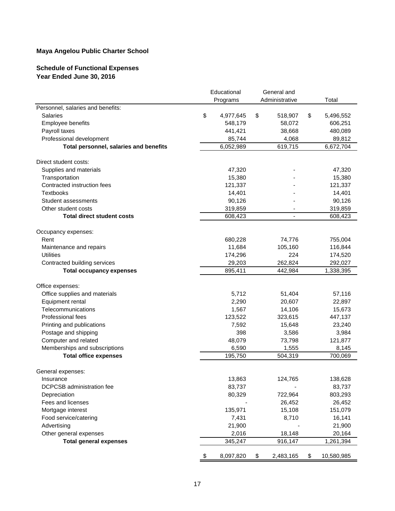# **Schedule of Functional Expenses Year Ended June 30, 2016**

|                                        | Educational |           |    | General and    |                  |
|----------------------------------------|-------------|-----------|----|----------------|------------------|
|                                        |             | Programs  |    | Administrative | Total            |
| Personnel, salaries and benefits:      |             |           |    |                |                  |
| <b>Salaries</b>                        | \$          | 4,977,645 | \$ | 518,907        | \$<br>5,496,552  |
| Employee benefits                      |             | 548,179   |    | 58,072         | 606,251          |
| Payroll taxes                          |             | 441,421   |    | 38,668         | 480,089          |
| Professional development               |             | 85,744    |    | 4,068          | 89,812           |
| Total personnel, salaries and benefits |             | 6,052,989 |    | 619,715        | 6,672,704        |
| Direct student costs:                  |             |           |    |                |                  |
| Supplies and materials                 |             | 47,320    |    |                | 47,320           |
| Transportation                         |             | 15,380    |    |                | 15,380           |
| Contracted instruction fees            |             | 121,337   |    |                | 121,337          |
| <b>Textbooks</b>                       |             | 14,401    |    |                | 14,401           |
| Student assessments                    |             | 90,126    |    |                | 90,126           |
| Other student costs                    |             | 319,859   |    |                | 319,859          |
| <b>Total direct student costs</b>      |             | 608,423   |    |                | 608,423          |
| Occupancy expenses:                    |             |           |    |                |                  |
| Rent                                   |             | 680,228   |    | 74,776         | 755,004          |
| Maintenance and repairs                |             | 11,684    |    | 105,160        | 116,844          |
| Utilities                              |             | 174,296   |    | 224            | 174,520          |
| Contracted building services           |             | 29,203    |    | 262,824        | 292,027          |
| <b>Total occupancy expenses</b>        |             | 895,411   |    | 442,984        | 1,338,395        |
| Office expenses:                       |             |           |    |                |                  |
| Office supplies and materials          |             | 5,712     |    | 51,404         | 57,116           |
| Equipment rental                       |             | 2,290     |    | 20,607         | 22,897           |
| Telecommunications                     |             | 1,567     |    | 14,106         | 15,673           |
| <b>Professional fees</b>               |             | 123,522   |    | 323,615        | 447,137          |
| Printing and publications              |             | 7,592     |    | 15,648         | 23,240           |
| Postage and shipping                   |             | 398       |    | 3,586          | 3,984            |
| Computer and related                   |             | 48,079    |    | 73,798         | 121,877          |
| Memberships and subscriptions          |             | 6,590     |    | 1,555          | 8,145            |
| <b>Total office expenses</b>           |             | 195,750   |    | 504,319        | 700,069          |
|                                        |             |           |    |                |                  |
| General expenses:                      |             |           |    |                |                  |
| Insurance                              |             | 13,863    |    | 124,765        | 138,628          |
| DCPCSB administration fee              |             | 83,737    |    |                | 83,737           |
| Depreciation                           |             | 80,329    |    | 722,964        | 803,293          |
| Fees and licenses                      |             |           |    | 26,452         | 26,452           |
| Mortgage interest                      |             | 135,971   |    | 15,108         | 151,079          |
| Food service/catering                  |             | 7,431     |    | 8,710          | 16,141           |
| Advertising                            |             | 21,900    |    |                | 21,900           |
| Other general expenses                 |             | 2,016     |    | 18,148         | 20,164           |
| <b>Total general expenses</b>          |             | 345,247   |    | 916,147        | 1,261,394        |
|                                        | \$          | 8,097,820 | \$ | 2,483,165      | \$<br>10,580,985 |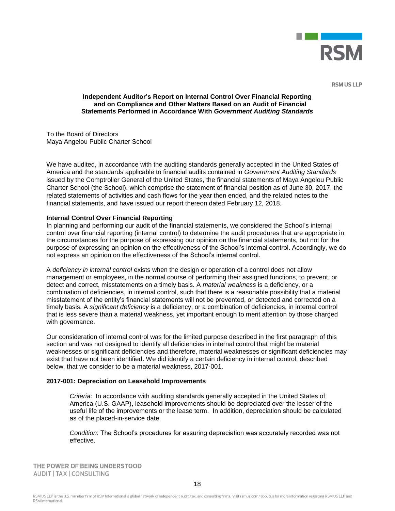

**RSM US LLP** 

## **Independent Auditor's Report on Internal Control Over Financial Reporting and on Compliance and Other Matters Based on an Audit of Financial Statements Performed in Accordance With** *Government Auditing Standards*

To the Board of Directors Maya Angelou Public Charter School

We have audited, in accordance with the auditing standards generally accepted in the United States of America and the standards applicable to financial audits contained in *Government Auditing Standards*  issued by the Comptroller General of the United States, the financial statements of Maya Angelou Public Charter School (the School), which comprise the statement of financial position as of June 30, 2017, the related statements of activities and cash flows for the year then ended, and the related notes to the financial statements, and have issued our report thereon dated February 12, 2018.

## **Internal Control Over Financial Reporting**

In planning and performing our audit of the financial statements, we considered the School's internal control over financial reporting (internal control) to determine the audit procedures that are appropriate in the circumstances for the purpose of expressing our opinion on the financial statements, but not for the purpose of expressing an opinion on the effectiveness of the School's internal control. Accordingly, we do not express an opinion on the effectiveness of the School's internal control.

A *deficiency in internal control* exists when the design or operation of a control does not allow management or employees, in the normal course of performing their assigned functions, to prevent, or detect and correct, misstatements on a timely basis. A *material weakness* is a deficiency, or a combination of deficiencies, in internal control, such that there is a reasonable possibility that a material misstatement of the entity's financial statements will not be prevented, or detected and corrected on a timely basis. A *significant deficiency* is a deficiency, or a combination of deficiencies, in internal control that is less severe than a material weakness, yet important enough to merit attention by those charged with governance.

Our consideration of internal control was for the limited purpose described in the first paragraph of this section and was not designed to identify all deficiencies in internal control that might be material weaknesses or significant deficiencies and therefore, material weaknesses or significant deficiencies may exist that have not been identified. We did identify a certain deficiency in internal control, described below, that we consider to be a material weakness, 2017-001.

#### **2017-001: Depreciation on Leasehold Improvements**

*Criteria*: In accordance with auditing standards generally accepted in the United States of America (U.S. GAAP), leasehold improvements should be depreciated over the lesser of the useful life of the improvements or the lease term. In addition, depreciation should be calculated as of the placed-in-service date.

*Condition*: The School's procedures for assuring depreciation was accurately recorded was not effective.

THE POWER OF BEING UNDERSTOOD AUDIT | TAX | CONSULTING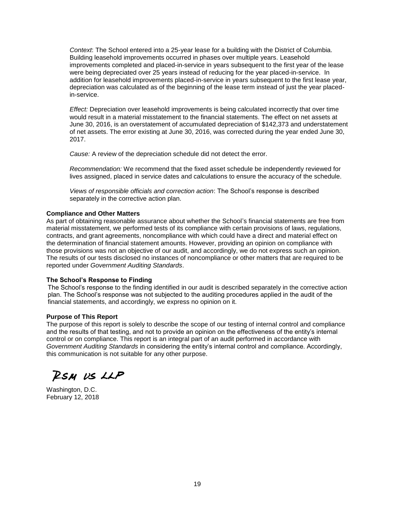*Context*: The School entered into a 25-year lease for a building with the District of Columbia. Building leasehold improvements occurred in phases over multiple years. Leasehold improvements completed and placed-in-service in years subsequent to the first year of the lease were being depreciated over 25 years instead of reducing for the year placed-in-service. In addition for leasehold improvements placed-in-service in years subsequent to the first lease year, depreciation was calculated as of the beginning of the lease term instead of just the year placedin-service.

*Effect:* Depreciation over leasehold improvements is being calculated incorrectly that over time would result in a material misstatement to the financial statements. The effect on net assets at June 30, 2016, is an overstatement of accumulated depreciation of \$142,373 and understatement of net assets. The error existing at June 30, 2016, was corrected during the year ended June 30, 2017.

*Cause:* A review of the depreciation schedule did not detect the error.

*Recommendation:* We recommend that the fixed asset schedule be independently reviewed for lives assigned, placed in service dates and calculations to ensure the accuracy of the schedule.

*Views of responsible officials and correction action*: The School's response is described separately in the corrective action plan.

## **Compliance and Other Matters**

As part of obtaining reasonable assurance about whether the School's financial statements are free from material misstatement, we performed tests of its compliance with certain provisions of laws, regulations, contracts, and grant agreements, noncompliance with which could have a direct and material effect on the determination of financial statement amounts. However, providing an opinion on compliance with those provisions was not an objective of our audit, and accordingly, we do not express such an opinion. The results of our tests disclosed no instances of noncompliance or other matters that are required to be reported under *Government Auditing Standards*.

## **The School's Response to Finding**

The School's response to the finding identified in our audit is described separately in the corrective action plan. The School's response was not subjected to the auditing procedures applied in the audit of the financial statements, and accordingly, we express no opinion on it.

## **Purpose of This Report**

The purpose of this report is solely to describe the scope of our testing of internal control and compliance and the results of that testing, and not to provide an opinion on the effectiveness of the entity's internal control or on compliance. This report is an integral part of an audit performed in accordance with *Government Auditing Standards* in considering the entity's internal control and compliance. Accordingly, this communication is not suitable for any other purpose.

**RSM US LLP** 

Washington, D.C. February 12, 2018